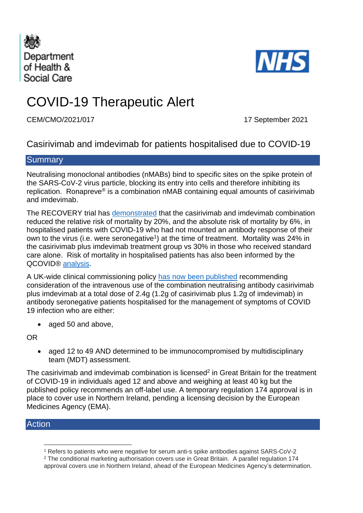



# COVID-19 Therapeutic Alert

CEM/CMO/2021/017 17 September 2021

# Casirivimab and imdevimab for patients hospitalised due to COVID-19

# **Summary**

Neutralising monoclonal antibodies (nMABs) bind to specific sites on the spike protein of the SARS-CoV-2 virus particle, blocking its entry into cells and therefore inhibiting its replication. Ronapreve<sup>®</sup> is a combination nMAB containing equal amounts of casirivimab and imdevimab.

The RECOVERY trial has [demonstrated](https://www.medrxiv.org/content/10.1101/2021.06.15.21258542v1) that the casirivimab and imdevimab combination reduced the relative risk of mortality by 20%, and the absolute risk of mortality by 6%, in hospitalised patients with COVID-19 who had not mounted an antibody response of their own to the virus (i.e. were seronegative<sup>1</sup>) at the time of treatment. Mortality was 24% in the casirivimab plus imdevimab treatment group vs 30% in those who received standard care alone. Risk of mortality in hospitalised patients has also been informed by the QCOVID® [analysis.](https://qcovid.org/Home/Publications)

A UK-wide clinical commissioning policy [has now been published](https://www.cas.mhra.gov.uk/ViewandAcknowledgment/ViewAlert.aspx?AlertID=103175) recommending consideration of the intravenous use of the combination neutralising antibody casirivimab plus imdevimab at a total dose of 2.4g (1.2g of casirivimab plus 1.2g of imdevimab) in antibody seronegative patients hospitalised for the management of symptoms of COVID 19 infection who are either:

• aged 50 and above.

OR

• aged 12 to 49 AND determined to be immunocompromised by multidisciplinary team (MDT) assessment.

The casirivimab and imdevimab combination is licensed<sup>2</sup> in Great Britain for the treatment of COVID-19 in individuals aged 12 and above and weighing at least 40 kg but the published policy recommends an off-label use. A temporary regulation 174 approval is in place to cover use in Northern Ireland, pending a licensing decision by the European Medicines Agency (EMA).

# Action

<sup>1</sup> Refers to patients who were negative for serum anti-s spike antibodies against SARS-CoV-2

<sup>&</sup>lt;sup>2</sup> The conditional marketing authorisation covers use in Great Britain. A parallel regulation 174 approval covers use in Northern Ireland, ahead of the European Medicines Agency's determination.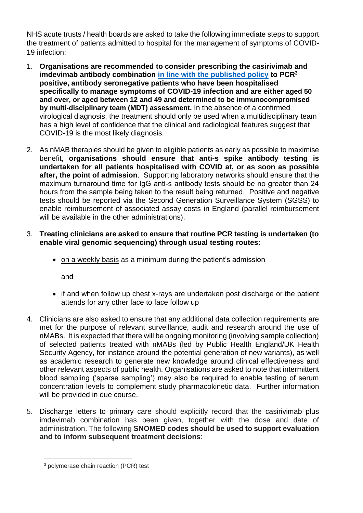NHS acute trusts / health boards are asked to take the following immediate steps to support the treatment of patients admitted to hospital for the management of symptoms of COVID-19 infection:

- 1. **Organisations are recommended to consider prescribing the casirivimab and imdevimab antibody combination [in line with the published policy](https://www.cas.mhra.gov.uk/ViewandAcknowledgment/ViewAlert.aspx?AlertID=103175) to PCR<sup>3</sup> positive, antibody seronegative patients who have been hospitalised specifically to manage symptoms of COVID-19 infection and are either aged 50 and over, or aged between 12 and 49 and determined to be immunocompromised by multi-disciplinary team (MDT) assessment.** In the absence of a confirmed virological diagnosis, the treatment should only be used when a multidisciplinary team has a high level of confidence that the clinical and radiological features suggest that COVID-19 is the most likely diagnosis.
- 2. As nMAB therapies should be given to eligible patients as early as possible to maximise benefit, **organisations should ensure that anti-s spike antibody testing is undertaken for all patients hospitalised with COVID at, or as soon as possible after, the point of admission**. Supporting laboratory networks should ensure that the maximum turnaround time for IgG anti-s antibody tests should be no greater than 24 hours from the sample being taken to the result being returned. Positive and negative tests should be reported via the Second Generation Surveillance System (SGSS) to enable reimbursement of associated assay costs in England (parallel reimbursement will be available in the other administrations).
- 3. **Treating clinicians are asked to ensure that routine PCR testing is undertaken (to enable viral genomic sequencing) through usual testing routes:** 
	- on a weekly basis as a minimum during the patient's admission

and

- if and when follow up chest x-rays are undertaken post discharge or the patient attends for any other face to face follow up
- 4. Clinicians are also asked to ensure that any additional data collection requirements are met for the purpose of relevant surveillance, audit and research around the use of nMABs. It is expected that there will be ongoing monitoring (involving sample collection) of selected patients treated with nMABs (led by Public Health England/UK Health Security Agency, for instance around the potential generation of new variants), as well as academic research to generate new knowledge around clinical effectiveness and other relevant aspects of public health. Organisations are asked to note that intermittent blood sampling ('sparse sampling') may also be required to enable testing of serum concentration levels to complement study pharmacokinetic data. Further information will be provided in due course.
- 5. Discharge letters to primary care should explicitly record that the casirivimab plus imdevimab combination has been given, together with the dose and date of administration. The following **SNOMED codes should be used to support evaluation and to inform subsequent treatment decisions**:

<sup>3</sup> polymerase chain reaction (PCR) test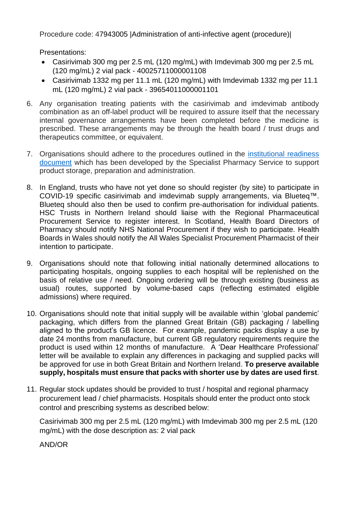Procedure code: 47943005 |Administration of anti-infective agent (procedure)|

Presentations:

- Casirivimab 300 mg per 2.5 mL (120 mg/mL) with Imdevimab 300 mg per 2.5 mL (120 mg/mL) 2 vial pack - 40025711000001108
- Casirivimab 1332 mg per 11.1 mL (120 mg/mL) with Imdevimab 1332 mg per 11.1 mL (120 mg/mL) 2 vial pack - 39654011000001101
- 6. Any organisation treating patients with the casirivimab and imdevimab antibody combination as an off-label product will be required to assure itself that the necessary internal governance arrangements have been completed before the medicine is prescribed. These arrangements may be through the health board / trust drugs and therapeutics committee, or equivalent.
- 7. Organisations should adhere to the procedures outlined in the [institutional readiness](https://www.sps.nhs.uk/home/guidance/covid-19-treatments/neutralising-monoclonal-antibodies/casirivimab-and-imdevimab)  [document](https://www.sps.nhs.uk/home/guidance/covid-19-treatments/neutralising-monoclonal-antibodies/casirivimab-and-imdevimab) which has been developed by the Specialist Pharmacy Service to support product storage, preparation and administration.
- 8. In England, trusts who have not yet done so should register (by site) to participate in COVID-19 specific casirivimab and imdevimab supply arrangements, via Blueteq™. Blueteq should also then be used to confirm pre-authorisation for individual patients. HSC Trusts in Northern Ireland should liaise with the Regional Pharmaceutical Procurement Service to register interest. In Scotland, Health Board Directors of Pharmacy should notify NHS National Procurement if they wish to participate. Health Boards in Wales should notify the All Wales Specialist Procurement Pharmacist of their intention to participate.
- 9. Organisations should note that following initial nationally determined allocations to participating hospitals, ongoing supplies to each hospital will be replenished on the basis of relative use / need. Ongoing ordering will be through existing (business as usual) routes, supported by volume-based caps (reflecting estimated eligible admissions) where required.
- 10. Organisations should note that initial supply will be available within 'global pandemic' packaging, which differs from the planned Great Britain (GB) packaging / labelling aligned to the product's GB licence. For example, pandemic packs display a use by date 24 months from manufacture, but current GB regulatory requirements require the product is used within 12 months of manufacture. A 'Dear Healthcare Professional' letter will be available to explain any differences in packaging and supplied packs will be approved for use in both Great Britain and Northern Ireland. **To preserve available supply, hospitals must ensure that packs with shorter use by dates are used first**.
- 11. Regular stock updates should be provided to trust / hospital and regional pharmacy procurement lead / chief pharmacists. Hospitals should enter the product onto stock control and prescribing systems as described below:

Casirivimab 300 mg per 2.5 mL (120 mg/mL) with Imdevimab 300 mg per 2.5 mL (120 mg/mL) with the dose description as: 2 vial pack

AND/OR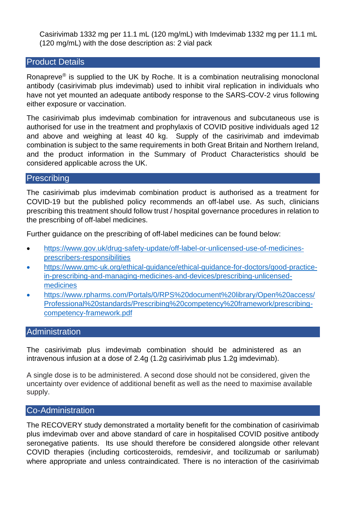Casirivimab 1332 mg per 11.1 mL (120 mg/mL) with Imdevimab 1332 mg per 11.1 mL (120 mg/mL) with the dose description as: 2 vial pack

# Product Details

Ronapreve® is supplied to the UK by Roche. It is a combination neutralising monoclonal antibody (casirivimab plus imdevimab) used to inhibit viral replication in individuals who have not yet mounted an adequate antibody response to the SARS-COV-2 virus following either exposure or vaccination.

The casirivimab plus imdevimab combination for intravenous and subcutaneous use is authorised for use in the treatment and prophylaxis of COVID positive individuals aged 12 and above and weighing at least 40 kg. Supply of the casirivimab and imdevimab combination is subject to the same requirements in both Great Britain and Northern Ireland, and the product information in the Summary of Product Characteristics should be considered applicable across the UK.

#### **Prescribing**

The casirivimab plus imdevimab combination product is authorised as a treatment for COVID-19 but the published policy recommends an off-label use. As such, clinicians prescribing this treatment should follow trust / hospital governance procedures in relation to the prescribing of off-label medicines.

Further guidance on the prescribing of off-label medicines can be found below:

- [https://www.gov.uk/drug-safety-update/off-label-or-unlicensed-use-of-medicines](https://www.gov.uk/drug-safety-update/off-label-or-unlicensed-use-of-medicines-prescribers-responsibilities)[prescribers-responsibilities](https://www.gov.uk/drug-safety-update/off-label-or-unlicensed-use-of-medicines-prescribers-responsibilities)
- [https://www.gmc-uk.org/ethical-guidance/ethical-guidance-for-doctors/good-practice](https://www.gmc-uk.org/ethical-guidance/ethical-guidance-for-doctors/good-practice-in-prescribing-and-managing-medicines-and-devices/prescribing-unlicensed-medicines)[in-prescribing-and-managing-medicines-and-devices/prescribing-unlicensed](https://www.gmc-uk.org/ethical-guidance/ethical-guidance-for-doctors/good-practice-in-prescribing-and-managing-medicines-and-devices/prescribing-unlicensed-medicines)[medicines](https://www.gmc-uk.org/ethical-guidance/ethical-guidance-for-doctors/good-practice-in-prescribing-and-managing-medicines-and-devices/prescribing-unlicensed-medicines)
- https://www.rpharms.com/Portals/0/RPS%20document%20library/Open%20access/ Professional%20standards/Prescribing%20competency%20framework/prescribingcompetency-framework.pdf

## **Administration**

The casirivimab plus imdevimab combination should be administered as an intravenous infusion at a dose of 2.4g (1.2g casirivimab plus 1.2g imdevimab).

A single dose is to be administered. A second dose should not be considered, given the uncertainty over evidence of additional benefit as well as the need to maximise available supply.

#### Co-Administration

The RECOVERY study demonstrated a mortality benefit for the combination of casirivimab plus imdevimab over and above standard of care in hospitalised COVID positive antibody seronegative patients. Its use should therefore be considered alongside other relevant COVID therapies (including corticosteroids, remdesivir, and tocilizumab or sarilumab) where appropriate and unless contraindicated. There is no interaction of the casirivimab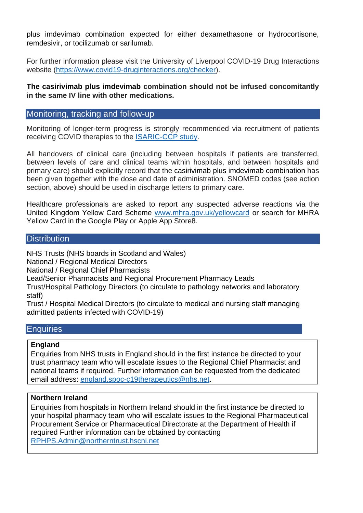plus imdevimab combination expected for either dexamethasone or hydrocortisone, remdesivir, or tocilizumab or sarilumab.

For further information please visit the University of Liverpool COVID-19 Drug Interactions website [\(https://www.covid19-druginteractions.org/checker\)](https://www.covid19-druginteractions.org/checker).

## **The casirivimab plus imdevimab combination should not be infused concomitantly in the same IV line with other medications.**

## Monitoring, tracking and follow-up

Monitoring of longer-term progress is strongly recommended via recruitment of patients receiving COVID therapies to the [ISARIC-CCP study.](https://isaric4c.net/)

All handovers of clinical care (including between hospitals if patients are transferred, between levels of care and clinical teams within hospitals, and between hospitals and primary care) should explicitly record that the casirivimab plus imdevimab combination has been given together with the dose and date of administration. SNOMED codes (see action section, above) should be used in discharge letters to primary care.

Healthcare professionals are asked to report any suspected adverse reactions via the United Kingdom Yellow Card Scheme [www.mhra.gov.uk/yellowcard](http://www.mhra.gov.uk/yellowcard) or search for MHRA Yellow Card in the Google Play or Apple App Store8.

## **Distribution**

NHS Trusts (NHS boards in Scotland and Wales)

National / Regional Medical Directors

National / Regional Chief Pharmacists

Lead/Senior Pharmacists and Regional Procurement Pharmacy Leads

Trust/Hospital Pathology Directors (to circulate to pathology networks and laboratory staff)

Trust / Hospital Medical Directors (to circulate to medical and nursing staff managing admitted patients infected with COVID-19)

#### **Enquiries**

#### **England**

Enquiries from NHS trusts in England should in the first instance be directed to your trust pharmacy team who will escalate issues to the Regional Chief Pharmacist and national teams if required. Further information can be requested from the dedicated email address: [england.spoc-c19therapeutics@nhs.net.](mailto:england.spoc-c19therapeutics@nhs.net)

#### **Northern Ireland**

Enquiries from hospitals in Northern Ireland should in the first instance be directed to your hospital pharmacy team who will escalate issues to the Regional Pharmaceutical Procurement Service or Pharmaceutical Directorate at the Department of Health if required Further information can be obtained by contacting [RPHPS.Admin@northerntrust.hscni.net](mailto:RPHPS.Admin@northerntrust.hscni.net)